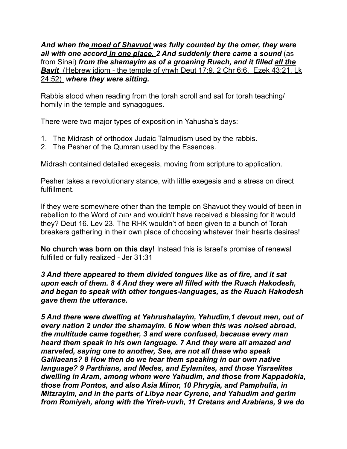*And when the moed of Shavuot was fully counted by the omer, they were all with one accord in one place. 2 And suddenly there came a sound* (as from Sinai) *from the shamayim as of a groaning Ruach, and it filled all the Bayit* (Hebrew idiom - the temple of yhwh Deut 17:9, 2 Chr 6:6, Ezek 43:21, Lk 24:52) *where they were sitting.* 

Rabbis stood when reading from the torah scroll and sat for torah teaching/ homily in the temple and synagogues.

There were two major types of exposition in Yahusha's days:

- 1. The Midrash of orthodox Judaic Talmudism used by the rabbis.
- 2. The Pesher of the Qumran used by the Essences.

Midrash contained detailed exegesis, moving from scripture to application.

Pesher takes a revolutionary stance, with little exegesis and a stress on direct fulfillment.

If they were somewhere other than the temple on Shavuot they would of been in rebellion to the Word of יהוה and wouldn't have received a blessing for it would they? Deut 16. Lev 23. The RHK wouldn't of been given to a bunch of Torah breakers gathering in their own place of choosing whatever their hearts desires!

**No church was born on this day!** Instead this is Israel's promise of renewal fulfilled or fully realized - Jer 31:31

*3 And there appeared to them divided tongues like as of fire, and it sat upon each of them. 8 4 And they were all filled with the Ruach Hakodesh, and began to speak with other tongues-languages, as the Ruach Hakodesh gave them the utterance.* 

*5 And there were dwelling at Yahrushalayim, Yahudim,1 devout men, out of every nation 2 under the shamayim. 6 Now when this was noised abroad, the multitude came together, 3 and were confused, because every man heard them speak in his own language. 7 And they were all amazed and marveled, saying one to another, See, are not all these who speak Galilaeans? 8 How then do we hear them speaking in our own native language? 9 Parthians, and Medes, and Eylamites, and those Yisraelites dwelling in Aram, among whom were Yahudim, and those from Kappadokia, those from Pontos, and also Asia Minor, 10 Phrygia, and Pamphulia, in Mitzrayim, and in the parts of Libya near Cyrene, and Yahudim and gerim from Romiyah, along with the Yireh-vuvh, 11 Cretans and Arabians, 9 we do*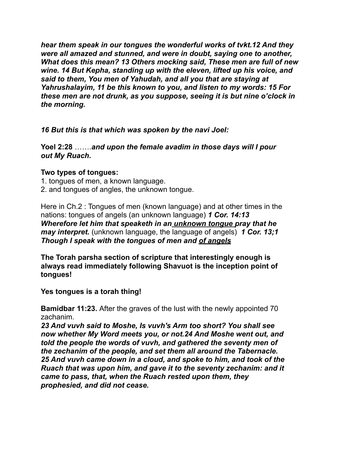*hear them speak in our tongues the wonderful works of tvkt.12 And they were all amazed and stunned, and were in doubt, saying one to another, What does this mean? 13 Others mocking said, These men are full of new wine. 14 But Kepha, standing up with the eleven, lifted up his voice, and said to them, You men of Yahudah, and all you that are staying at Yahrushalayim, 11 be this known to you, and listen to my words: 15 For these men are not drunk, as you suppose, seeing it is but nine o'clock in the morning.* 

*16 But this is that which was spoken by the navi Joel:* 

**Yoel 2:28** …….*and upon the female avadim in those days will I pour out My Ruach***.** 

## **Two types of tongues:**

1. tongues of men, a known language.

2. and tongues of angles, the unknown tongue.

Here in Ch.2 : Tongues of men (known language) and at other times in the nations: tongues of angels (an unknown language) *1 Cor. 14:13 Wherefore let him that speaketh in an unknown tongue pray that he may interpret.* (unknown language, the language of angels) 1 Cor. 13;1 *Though I speak with the tongues of men and of angels* 

**The Torah parsha section of scripture that interestingly enough is always read immediately following Shavuot is the inception point of tongues!** 

**Yes tongues is a torah thing!** 

**Bamidbar 11:23.** After the graves of the lust with the newly appointed 70 zachanim.

*23 And vuvh said to Moshe, Is vuvh's Arm too short? You shall see now whether My Word meets you, or not.24 And Moshe went out, and told the people the words of vuvh, and gathered the seventy men of the zechanim of the people, and set them all around the Tabernacle. 25 And vuvh came down in a cloud, and spoke to him, and took of the Ruach that was upon him, and gave it to the seventy zechanim: and it came to pass, that, when the Ruach rested upon them, they prophesied, and did not cease.*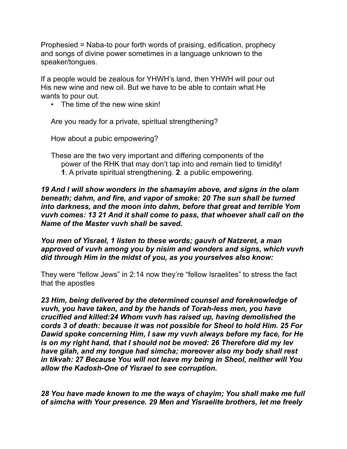Prophesied = Naba-to pour forth words of praising, edification, prophecy and songs of divine power sometimes in a language unknown to the speaker/tongues.

If a people would be zealous for YHWH's land, then YHWH will pour out His new wine and new oil. But we have to be able to contain what He wants to pour out.

• The time of the new wine skin!

Are you ready for a private, spiritual strengthening?

How about a pubic empowering?

These are the two very important and differing components of the power of the RHK that may don't tap into and remain tied to timidity! **1**. A private spiritual strengthening. **2**. a public empowering.

*19 And I will show wonders in the shamayim above, and signs in the olam beneath; dahm, and fire, and vapor of smoke: 20 The sun shall be turned into darkness, and the moon into dahm, before that great and terrible Yom vuvh comes: 13 21 And it shall come to pass, that whoever shall call on the Name of the Master vuvh shall be saved.* 

*You men of Yisrael, 1 listen to these words; gauvh of Natzeret, a man approved of vuvh among you by nisim and wonders and signs, which vuvh did through Him in the midst of you, as you yourselves also know:* 

They were "fellow Jews" in 2:14 now they're "fellow Israelites" to stress the fact that the apostles

*23 Him, being delivered by the determined counsel and foreknowledge of vuvh, you have taken, and by the hands of Torah-less men, you have crucified and killed:24 Whom vuvh has raised up, having demolished the cords 3 of death: because it was not possible for Sheol to hold Him. 25 For Dawid spoke concerning Him, I saw my vuvh always before my face, for He is on my right hand, that I should not be moved: 26 Therefore did my lev have gilah, and my tongue had simcha; moreover also my body shall rest in tikvah: 27 Because You will not leave my being in Sheol, neither will You allow the Kadosh-One of Yisrael to see corruption.* 

*28 You have made known to me the ways of chayim; You shall make me full of simcha with Your presence. 29 Men and Yisraelite brothers, let me freely*